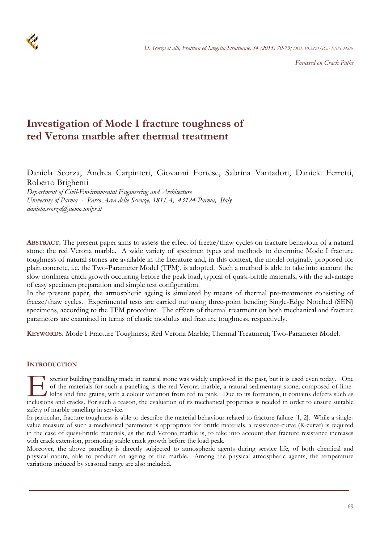

*Focussed on Crack Paths* 

# **Investigation of Mode I fracture toughness of red Verona marble after thermal treatment**

Daniela Scorza, Andrea Carpinteri, Giovanni Fortese, Sabrina Vantadori, Daniele Ferretti, Roberto Brighenti

*Department of Civil-Environmental Engineering and Architecture University of Parma - Parco Area delle Scienze, 181/A, 43124 Parma, Italy daniela.scorza@nemo.unipr.it* 

**ABSTRACT.** The present paper aims to assess the effect of freeze/thaw cycles on fracture behaviour of a natural stone: the red Verona marble. A wide variety of specimen types and methods to determine Mode I fracture toughness of natural stones are available in the literature and, in this context, the model originally proposed for plain concrete, i.e. the Two-Parameter Model (TPM), is adopted. Such a method is able to take into account the slow nonlinear crack growth occurring before the peak load, typical of quasi-brittle materials, with the advantage of easy specimen preparation and simple test configuration.

In the present paper, the atmospheric ageing is simulated by means of thermal pre-treatments consisting of freeze/thaw cycles. Experimental tests are carried out using three-point bending Single-Edge Notched (SEN) specimens, according to the TPM procedure. The effects of thermal treatment on both mechanical and fracture parameters are examined in terms of elastic modulus and fracture toughness, respectively.

**KEYWORDS.** Mode I Fracture Toughness; Red Verona Marble; Thermal Treatment; Two-Parameter Model.

# **INTRODUCTION**

xterior building panelling made in natural stone was widely employed in the past, but it is used even today. One of the materials for such a panelling is the red Verona marble, a natural sedimentary stone, composed of limekilns and fine grains, with a colour variation from red to pink. Due to its formation, it contains defects such as Inclusions and cracks. For such a reason, the evaluation of its mechanical properties is needed in order to ensure suitable inclusions and cracks. For such a reason, the evaluation of its mechanical properties is needed in safety of marble panelling in service.

In particular, fracture toughness is able to describe the material behaviour related to fracture failure [1, 2]. While a singlevalue measure of such a mechanical parameter is appropriate for brittle materials, a resistance-curve (R-curve) is required in the case of quasi-brittle materials, as the red Verona marble is, to take into account that fracture resistance increases with crack extension, promoting stable crack growth before the load peak.

Moreover, the above panelling is directly subjected to atmospheric agents during service life, of both chemical and physical nature, able to produce an ageing of the marble. Among the physical atmospheric agents, the temperature variations induced by seasonal range are also included.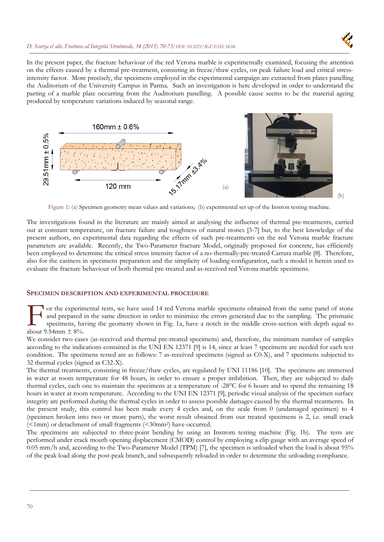## *D. Scorza et alii, Frattura ed Integrità Strutturale, 34 (2015) 70-73; DOI: 10.3221/IGF-ESIS.34.06*



In the present paper, the fracture behaviour of the red Verona marble is experimentally examined, focusing the attention on the effects caused by a thermal pre-treatment, consisting in freeze/thaw cycles, on peak failure load and critical stressintensity factor. More precisely, the specimens employed in the experimental campaign are extracted from plates panelling the Auditorium of the University Campus in Parma. Such an investigation is here developed in order to understand the parting of a marble plate occurring from the Auditorium panelling. A possible cause seems to be the material ageing produced by temperature variations induced by seasonal range.



Figure 1: (a) Specimen geometry mean values and variations; (b) experimental set up of the Instron testing machine.

The investigations found in the literature are mainly aimed at analysing the influence of thermal pre-treatments, carried out at constant temperature, on fracture failure and toughness of natural stones [3-7] but, to the best knowledge of the present authors, no experimental data regarding the effects of such pre-treatments on the red Verona marble fracture parameters are available. Recently, the Two-Parameter fracture Model, originally proposed for concrete, has efficiently been employed to determine the critical stress intensity factor of a no-thermally-pre-treated Carrara marble [8]. Therefore, also for the easiness in specimens preparation and the simplicity of loading configuration, such a model is herein used to evaluate the fracture behaviour of both thermal pre-treated and as-received red Verona marble specimens.

#### **SPECIMEN DESCRIPTION AND EXPERIMENTAL PROCEDURE**

**T** or the experimental tests, we have used 14 red Verona marble specimens obtained from the same panel of stone and prepared in the same direction in order to minimize the errors generated due to the sampling. The prismatic specimens, having the geometry shown in Fig. 1a, have a notch in the middle cross-section with depth equal to or the experim<br>and prepared i<br>specimens, has<br>about 9.54mm  $\pm$  8%.

We consider two cases (as-received and thermal pre-treated specimens) and, therefore, the minimum number of samples according to the indications contained in the UNI EN 12371 [9] is 14, since at least 7 specimens are needed for each test condition. The specimens tested are as follows: 7 as-received specimens (signed as C0-X), and 7 specimens subjected to 32 thermal cycles (signed as C32-X).

The thermal treatments, consisting in freeze/thaw cycles, are regulated by UNI 11186 [10]. The specimens are immersed in water at room temperature for 48 hours, in order to ensure a proper imbibition. Then, they are subjected to daily thermal cycles, each one to maintain the specimens at a temperature of -28°C for 6 hours and to spend the remaining 18 hours in water at room temperature. According to the UNI EN 12371 [9], periodic visual analysis of the specimen surface integrity are performed during the thermal cycles in order to assess possible damages caused by the thermal treatments. In the present study, this control has been made every 4 cycles and, on the scale from 0 (undamaged specimen) to 4 (specimen broken into two or more parts), the worst result obtained from our treated specimens is 2, i.e. small crack (<1mm) or detachment of small fragments (<30mm2) have occurred.

The specimens are subjected to three-point bending by using an Instrom testing machine (Fig. 1b). The tests are performed under crack mouth opening displacement (CMOD) control by employing a clip gauge with an average speed of 0.05 mm/h and, according to the Two-Parameter Model (TPM) [7], the specimen is unloaded when the load is about 95% of the peak load along the post-peak branch, and subsequently reloaded in order to determine the unloading compliance.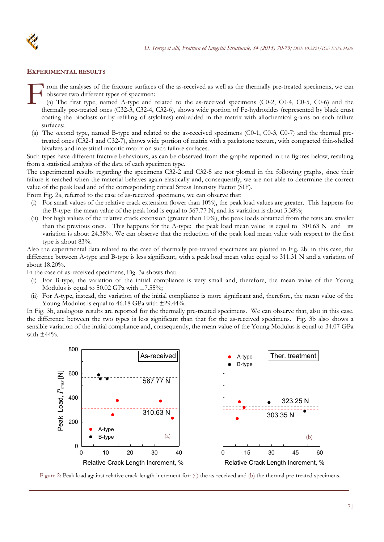



#### **EXPERIMENTAL RESULTS**

**I** rom the analyses of the fracture surfaces of the as-received as well as the thermally pre-treated specimens, we can observe two different types of specimen:  $\prod_{\substack{c\\c}}^{\infty}$ 

(a) The first type, named A-type and related to the as-received specimens (C0-2, C0-4, C0-5, C0-6) and the thermally pre-treated ones (C32-3, C32-4, C32-6), shows wide portion of Fe-hydroxides (represented by black crust coating the bioclasts or by refilling of stylolites) embedded in the matrix with allochemical grains on such failure surfaces;

(a) The second type, named B-type and related to the as-received specimens (C0-1, C0-3, C0-7) and the thermal pretreated ones (C32-1 and C32-7), shows wide portion of matrix with a packstone texture, with compacted thin-shelled bivalves and interstitial micritic matrix on such failure surfaces.

Such types have different fracture behaviours, as can be observed from the graphs reported in the figures below, resulting from a statistical analysis of the data of each specimen type.

The experimental results regarding the specimens C32-2 and C32-5 are not plotted in the following graphs, since their failure is reached when the material behaves again elastically and, consequently, we are not able to determine the correct value of the peak load and of the corresponding critical Stress Intensity Factor (SIF).

From Fig. 2a, referred to the case of as-received specimens, we can observe that:

- (i) For small values of the relative crack extension (lower than 10%), the peak load values are greater. This happens for the B-type: the mean value of the peak load is equal to 567.77 N, and its variation is about 3.38%;
- (ii) For high values of the relative crack extension (greater than 10%), the peak loads obtained from the tests are smaller than the previous ones. This happens for the A-type: the peak load mean value is equal to  $310.63$  N and its variation is about 24.38%. We can observe that the reduction of the peak load mean value with respect to the first type is about 83%.

Also the experimental data related to the case of thermally pre-treated specimens are plotted in Fig. 2b: in this case, the difference between A-type and B-type is less significant, with a peak load mean value equal to 311.31 N and a variation of about 18.20%.

In the case of as-received specimens, Fig. 3a shows that:

- For B-type, the variation of the initial compliance is very small and, therefore, the mean value of the Young Modulus is equal to 50.02 GPa with  $\pm$ 7.55%;
- (ii) For A-type, instead, the variation of the initial compliance is more significant and, therefore, the mean value of the Young Modulus is equal to 46.18 GPa with ±29.44%.

In Fig. 3b, analogous results are reported for the thermally pre-treated specimens. We can observe that, also in this case, the difference between the two types is less significant than that for the as-received specimens. Fig. 3b also shows a sensible variation of the initial compliance and, consequently, the mean value of the Young Modulus is equal to 34.07 GPa with  $\pm 44\%$ .



Figure 2: Peak load against relative crack length increment for: (a) the as-received and (b) the thermal pre-treated specimens.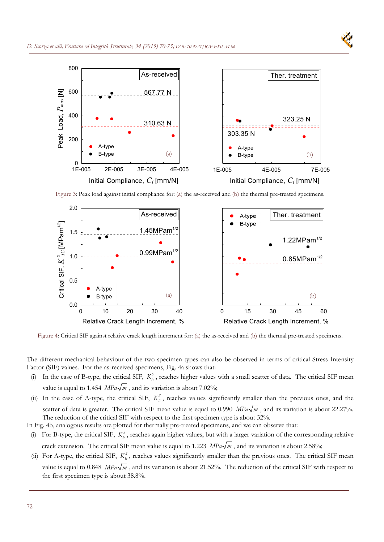

Figure 3: Peak load against initial compliance for: (a) the as-received and (b) the thermal pre-treated specimens.



Figure 4: Critical SIF against relative crack length increment for: (a) the as-received and (b) the thermal pre-treated specimens.

The different mechanical behaviour of the two specimen types can also be observed in terms of critical Stress Intensity Factor (SIF) values. For the as-received specimens, Fig. 4a shows that:

- (i) In the case of B-type, the critical SIF,  $K_k^s$ , reaches higher values with a small scatter of data. The critical SIF mean value is equal to 1.454  $MPa\sqrt{m}$ , and its variation is about 7.02%;
- (ii) In the case of A-type, the critical SIF,  $K_k^s$ , reaches values significantly smaller than the previous ones, and the scatter of data is greater. The critical SIF mean value is equal to 0.990  $MPa\sqrt{m}$ , and its variation is about 22.27%. The reduction of the critical SIF with respect to the first specimen type is about 32%.

In Fig. 4b, analogous results are plotted for thermally pre-treated specimens, and we can observe that:

- (i) For B-type, the critical SIF,  $K_k^s$ , reaches again higher values, but with a larger variation of the corresponding relative crack extension. The critical SIF mean value is equal to 1.223  $MPa\sqrt{m}$ , and its variation is about 2.58%;
- (ii) For A-type, the critical SIF,  $K_k^s$ , reaches values significantly smaller than the previous ones. The critical SIF mean value is equal to 0.848  $MPa\sqrt{m}$ , and its variation is about 21.52%. The reduction of the critical SIF with respect to the first specimen type is about 38.8%.